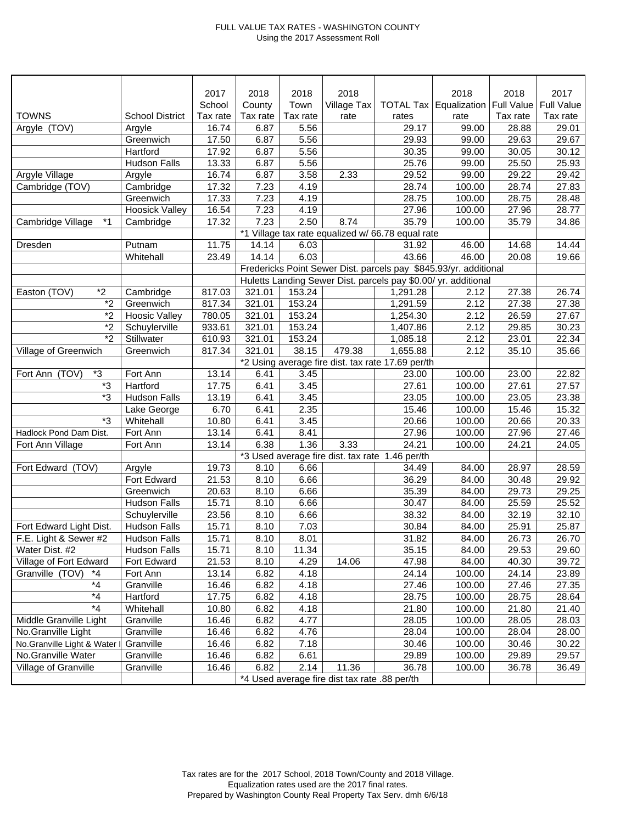## FULL VALUE TAX RATES - WASHINGTON COUNTY Using the 2017 Assessment Roll

|                            |                        | 2017     | 2018                                              | 2018     | 2018        |                  | 2018                                                             | 2018              | 2017              |
|----------------------------|------------------------|----------|---------------------------------------------------|----------|-------------|------------------|------------------------------------------------------------------|-------------------|-------------------|
|                            |                        | School   | County                                            | Town     | Village Tax | <b>TOTAL Tax</b> | Equalization                                                     | <b>Full Value</b> | <b>Full Value</b> |
| <b>TOWNS</b>               | <b>School District</b> | Tax rate | Tax rate                                          | Tax rate | rate        | rates            | rate                                                             | Tax rate          | Tax rate          |
| Argyle (TOV)               | Argyle                 | 16.74    | 6.87                                              | 5.56     |             | 29.17            | 99.00                                                            | 28.88             | 29.01             |
|                            | Greenwich              | 17.50    | 6.87                                              | 5.56     |             | 29.93            | 99.00                                                            | 29.63             | 29.67             |
|                            | Hartford               | 17.92    | 6.87                                              | 5.56     |             | 30.35            | 99.00                                                            | 30.05             | 30.12             |
|                            | <b>Hudson Falls</b>    | 13.33    | 6.87                                              | 5.56     |             | 25.76            | 99.00                                                            | 25.50             | 25.93             |
| Argyle Village             | Argyle                 | 16.74    | 6.87                                              | 3.58     | 2.33        | 29.52            | 99.00                                                            | 29.22             | 29.42             |
| Cambridge (TOV)            | Cambridge              | 17.32    | 7.23                                              | 4.19     |             | 28.74            | 100.00                                                           | 28.74             | 27.83             |
|                            | Greenwich              | 17.33    | 7.23                                              | 4.19     |             | 28.75            | 100.00                                                           | 28.75             | 28.48             |
|                            | <b>Hoosick Valley</b>  | 16.54    | 7.23                                              | 4.19     |             | 27.96            | 100.00                                                           | 27.96             | 28.77             |
| $*1$<br>Cambridge Village  | Cambridge              | 17.32    | 7.23                                              | 2.50     | 8.74        | 35.79            | 100.00                                                           | 35.79             | 34.86             |
|                            |                        |          | *1 Village tax rate equalized w/ 66.78 equal rate |          |             |                  |                                                                  |                   |                   |
| Dresden                    | Putnam                 | 11.75    | 14.14                                             | 6.03     |             | 31.92            | 46.00                                                            | 14.68             | 14.44             |
|                            | Whitehall              | 23.49    | 14.14                                             | 6.03     |             | 43.66            | 46.00                                                            | 20.08             | 19.66             |
|                            |                        |          |                                                   |          |             |                  | Fredericks Point Sewer Dist. parcels pay \$845.93/yr. additional |                   |                   |
|                            |                        |          |                                                   |          |             |                  | Huletts Landing Sewer Dist. parcels pay \$0.00/ yr. additional   |                   |                   |
| $*2$<br>Easton (TOV)       | Cambridge              | 817.03   | 321.01                                            | 153.24   |             | 1,291.28         | 2.12                                                             | 27.38             | 26.74             |
| $\overline{2}$             | Greenwich              | 817.34   | 321.01                                            | 153.24   |             | 1,291.59         | 2.12                                                             | 27.38             | 27.38             |
| $*_{2}$                    | <b>Hoosic Valley</b>   | 780.05   | 321.01                                            | 153.24   |             | 1,254.30         | 2.12                                                             | 26.59             | 27.67             |
| $*_{2}$                    | Schuylerville          | 933.61   | 321.01                                            | 153.24   |             | 1,407.86         | 2.12                                                             | 29.85             | 30.23             |
| $\overline{2}$             | Stillwater             | 610.93   | 321.01                                            | 153.24   |             | 1,085.18         | 2.12                                                             | 23.01             | 22.34             |
| Village of Greenwich       | Greenwich              | 817.34   | 321.01                                            | 38.15    | 479.38      | 1,655.88         | 2.12                                                             | 35.10             | 35.66             |
|                            |                        |          | *2 Using average fire dist. tax rate 17.69 per/th |          |             |                  |                                                                  |                   |                   |
| $*3$<br>Fort Ann (TOV)     | Fort Ann               | 13.14    | 6.41                                              | 3.45     |             | 23.00            | 100.00                                                           | 23.00             | 22.82             |
| *3                         | Hartford               | 17.75    | 6.41                                              | 3.45     |             | 27.61            | 100.00                                                           | 27.61             | 27.57             |
| *3                         | <b>Hudson Falls</b>    | 13.19    | 6.41                                              | 3.45     |             | 23.05            | 100.00                                                           | 23.05             | 23.38             |
|                            | Lake George            | 6.70     | 6.41                                              | 2.35     |             | 15.46            | 100.00                                                           | 15.46             | 15.32             |
| *3                         | Whitehall              | 10.80    | 6.41                                              | 3.45     |             | 20.66            | 100.00                                                           | 20.66             | 20.33             |
| Hadlock Pond Dam Dist.     | Fort Ann               | 13.14    | 6.41                                              | 8.41     |             | 27.96            | 100.00                                                           | 27.96             | 27.46             |
| Fort Ann Village           | Fort Ann               | 13.14    | 6.38                                              | 1.36     | 3.33        | 24.21            | 100.00                                                           | 24.21             | 24.05             |
|                            |                        |          | *3 Used average fire dist. tax rate 1.46 per/th   |          |             |                  |                                                                  |                   |                   |
| Fort Edward (TOV)          | Argyle                 | 19.73    | 8.10                                              | 6.66     |             | 34.49            | 84.00                                                            | 28.97             | 28.59             |
|                            | Fort Edward            | 21.53    | 8.10                                              | 6.66     |             | 36.29            | 84.00                                                            | 30.48             | 29.92             |
|                            | Greenwich              | 20.63    | 8.10                                              | 6.66     |             | 35.39            | 84.00                                                            | 29.73             | 29.25             |
|                            | <b>Hudson Falls</b>    | 15.71    | 8.10                                              | 6.66     |             | 30.47            | 84.00                                                            | 25.59             | 25.52             |
|                            | Schuylerville          | 23.56    | 8.10                                              | 6.66     |             | 38.32            | 84.00                                                            | 32.19             | 32.10             |
| Fort Edward Light Dist.    | <b>Hudson Falls</b>    | 15.71    | 8.10                                              | 7.03     |             | 30.84            | 84.00                                                            | 25.91             | 25.87             |
| F.E. Light & Sewer #2      | <b>Hudson Falls</b>    | 15.71    | 8.10                                              | 8.01     |             | 31.82            | 84.00                                                            | 26.73             | 26.70             |
| Water Dist. #2             | <b>Hudson Falls</b>    | 15.71    | 8.10                                              | 11.34    |             | 35.15            | 84.00                                                            | 29.53             | 29.60             |
| Village of Fort Edward     | Fort Edward            | 21.53    | 8.10                                              | 4.29     | 14.06       | 47.98            | 84.00                                                            | 40.30             | 39.72             |
| Granville (TOV)<br>*4      | Fort Ann               | 13.14    | 6.82                                              | 4.18     |             | 24.14            | 100.00                                                           | 24.14             | 23.89             |
| $*_{4}$                    | Granville              | 16.46    | 6.82                                              | 4.18     |             | 27.46            | 100.00                                                           | 27.46             | 27.35             |
| $^{\star}4$                | Hartford               | 17.75    | 6.82                                              | 4.18     |             | 28.75            | 100.00                                                           | 28.75             | 28.64             |
| $*_{4}$                    | Whitehall              | 10.80    | 6.82                                              | 4.18     |             | 21.80            | 100.00                                                           | 21.80             | 21.40             |
| Middle Granville Light     | Granville              | 16.46    | 6.82                                              | 4.77     |             | 28.05            | 100.00                                                           | 28.05             | 28.03             |
| No.Granville Light         | Granville              | 16.46    | 6.82                                              | 4.76     |             | 28.04            | 100.00                                                           | 28.04             | 28.00             |
| No.Granville Light & Water | Granville              | 16.46    | 6.82                                              | 7.18     |             | 30.46            | 100.00                                                           | 30.46             | 30.22             |
| No.Granville Water         | Granville              | 16.46    | 6.82                                              | 6.61     |             | 29.89            | 100.00                                                           | 29.89             | 29.57             |
| Village of Granville       | Granville              | 16.46    | 6.82                                              | 2.14     | 11.36       | 36.78            | 100.00                                                           | 36.78             | 36.49             |
|                            |                        |          | *4 Used average fire dist tax rate .88 per/th     |          |             |                  |                                                                  |                   |                   |